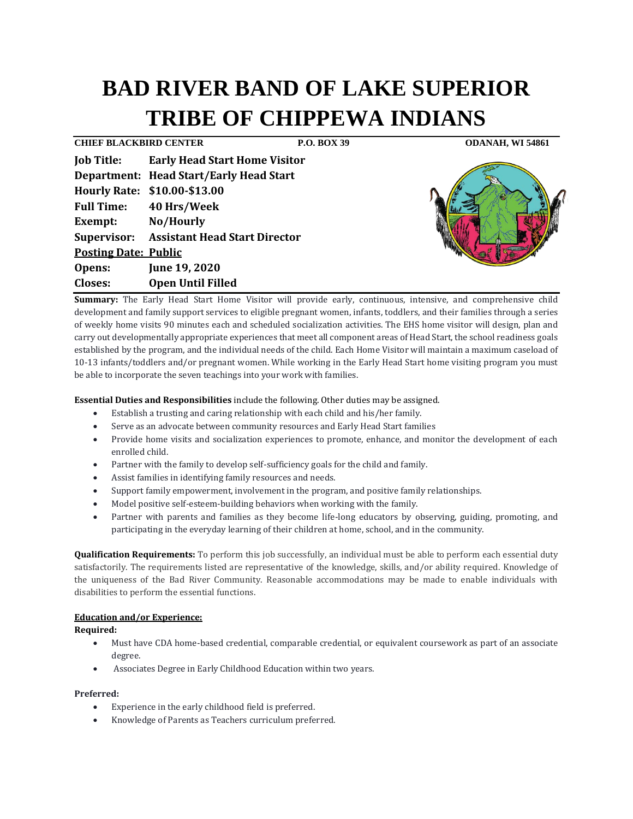# **BAD RIVER BAND OF LAKE SUPERIOR TRIBE OF CHIPPEWA INDIANS**

**CHIEF BLACKBIRD CENTER P.O. BOX 39 ODANAH, WI 54861 Job Title: Early Head Start Home Visitor Department: Head Start/Early Head Start Hourly Rate: \$10.00-\$13.00 Full Time: 40 Hrs/Week Exempt: No/Hourly Supervisor: Assistant Head Start Director Posting Date: Public Opens: June 19, 2020 Closes: Open Until Filled**



**Summary:** The Early Head Start Home Visitor will provide early, continuous, intensive, and comprehensive child development and family support services to eligible pregnant women, infants, toddlers, and their families through a series of weekly home visits 90 minutes each and scheduled socialization activities. The EHS home visitor will design, plan and carry out developmentally appropriate experiences that meet all component areas of Head Start, the school readiness goals established by the program, and the individual needs of the child. Each Home Visitor will maintain a maximum caseload of 10-13 infants/toddlers and/or pregnant women. While working in the Early Head Start home visiting program you must be able to incorporate the seven teachings into your work with families.

## **Essential Duties and Responsibilities** include the following. Other duties may be assigned.

- Establish a trusting and caring relationship with each child and his/her family.
- Serve as an advocate between community resources and Early Head Start families
- Provide home visits and socialization experiences to promote, enhance, and monitor the development of each enrolled child.
- Partner with the family to develop self-sufficiency goals for the child and family.
- Assist families in identifying family resources and needs.
- Support family empowerment, involvement in the program, and positive family relationships.
- Model positive self-esteem-building behaviors when working with the family.
- Partner with parents and families as they become life-long educators by observing, guiding, promoting, and participating in the everyday learning of their children at home, school, and in the community.

**Qualification Requirements:** To perform this job successfully, an individual must be able to perform each essential duty satisfactorily. The requirements listed are representative of the knowledge, skills, and/or ability required. Knowledge of the uniqueness of the Bad River Community. Reasonable accommodations may be made to enable individuals with disabilities to perform the essential functions.

## **Education and/or Experience:**

**Required:**

- Must have CDA home-based credential, comparable credential, or equivalent coursework as part of an associate degree.
- Associates Degree in Early Childhood Education within two years.

#### **Preferred:**

- Experience in the early childhood field is preferred.
- Knowledge of Parents as Teachers curriculum preferred.